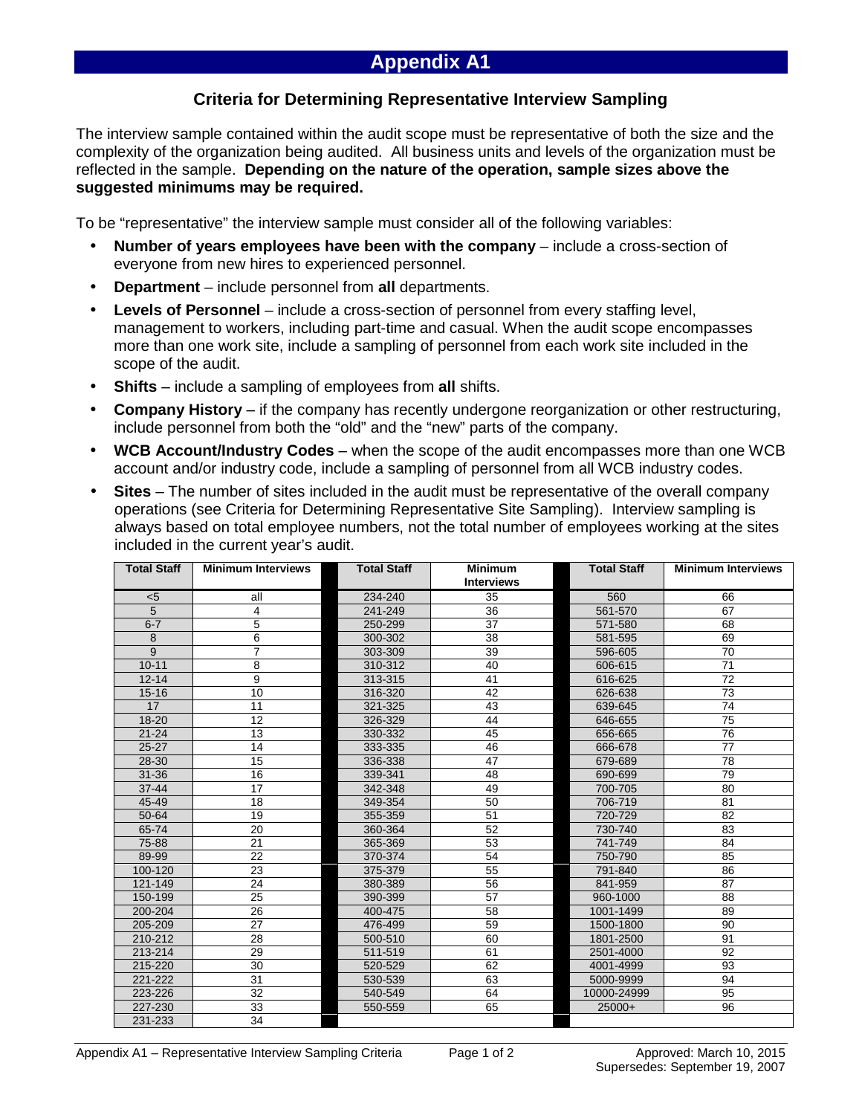## **Appendix A1**

## **Criteria for Determining Representative Interview Sampling**

The interview sample contained within the audit scope must be representative of both the size and the complexity of the organization being audited. All business units and levels of the organization must be reflected in the sample. **Depending on the nature of the operation, sample sizes above the suggested minimums may be required.** 

To be "representative" the interview sample must consider all of the following variables:

- **Number of years employees have been with the company** include a cross-section of everyone from new hires to experienced personnel.
- **Department** include personnel from **all** departments.
- **Levels of Personnel** include a cross-section of personnel from every staffing level, management to workers, including part-time and casual. When the audit scope encompasses more than one work site, include a sampling of personnel from each work site included in the scope of the audit.
- **Shifts** include a sampling of employees from **all** shifts.
- **Company History** if the company has recently undergone reorganization or other restructuring, include personnel from both the "old" and the "new" parts of the company.
- **WCB Account/Industry Codes** when the scope of the audit encompasses more than one WCB account and/or industry code, include a sampling of personnel from all WCB industry codes.
- **Sites**  The number of sites included in the audit must be representative of the overall company operations (see Criteria for Determining Representative Site Sampling). Interview sampling is always based on total employee numbers, not the total number of employees working at the sites included in the current year's audit.

| <b>Total Staff</b> | <b>Minimum Interviews</b> | <b>Total Staff</b> | <b>Minimum</b><br><b>Interviews</b> | <b>Total Staff</b> | <b>Minimum Interviews</b> |
|--------------------|---------------------------|--------------------|-------------------------------------|--------------------|---------------------------|
| < 5                | all                       | 234-240            | 35                                  | 560                | 66                        |
| $\overline{5}$     | 4                         | 241-249            | $\overline{36}$                     | 561-570            | 67                        |
| $6 - 7$            | 5                         | 250-299            | 37                                  | 571-580            | 68                        |
| 8                  | 6                         | 300-302            | 38                                  | 581-595            | 69                        |
| 9                  | 7                         | 303-309            | 39                                  | 596-605            | 70                        |
| $10 - 11$          | 8                         | 310-312            | 40                                  | 606-615            | 71                        |
| $12 - 14$          | 9                         | 313-315            | 41                                  | 616-625            | 72                        |
| $15 - 16$          | 10                        | 316-320            | 42                                  | 626-638            | 73                        |
| 17                 | 11                        | 321-325            | 43                                  | 639-645            | 74                        |
| $18 - 20$          | 12                        | 326-329            | 44                                  | 646-655            | 75                        |
| $21 - 24$          | 13                        | 330-332            | 45                                  | 656-665            | 76                        |
| $25 - 27$          | 14                        | 333-335            | 46                                  | 666-678            | 77                        |
| 28-30              | 15                        | 336-338            | 47                                  | 679-689            | 78                        |
| $31 - 36$          | 16                        | 339-341            | 48                                  | 690-699            | 79                        |
| $37 - 44$          | 17                        | 342-348            | 49                                  | 700-705            | 80                        |
| 45-49              | 18                        | 349-354            | 50                                  | 706-719            | 81                        |
| 50-64              | 19                        | 355-359            | 51                                  | 720-729            | 82                        |
| 65-74              | 20                        | 360-364            | 52                                  | 730-740            | 83                        |
| 75-88              | $\overline{21}$           | 365-369            | 53                                  | 741-749            | 84                        |
| 89-99              | $\overline{22}$           | 370-374            | $\overline{54}$                     | 750-790            | 85                        |
| 100-120            | 23                        | 375-379            | 55                                  | 791-840            | 86                        |
| 121-149            | 24                        | 380-389            | 56                                  | 841-959            | 87                        |
| 150-199            | 25                        | 390-399            | 57                                  | 960-1000           | 88                        |
| 200-204            | 26                        | 400-475            | 58                                  | 1001-1499          | 89                        |
| 205-209            | 27                        | 476-499            | 59                                  | 1500-1800          | 90                        |
| 210-212            | 28                        | 500-510            | 60                                  | 1801-2500          | 91                        |
| 213-214            | 29                        | 511-519            | 61                                  | 2501-4000          | 92                        |
| 215-220            | 30                        | 520-529            | 62                                  | 4001-4999          | 93                        |
| 221-222            | 31                        | 530-539            | 63                                  | 5000-9999          | 94                        |
| 223-226            | $\overline{32}$           | 540-549            | 64                                  | 10000-24999        | 95                        |
| 227-230            | 33                        | 550-559            | 65                                  | $25000+$           | 96                        |
| 231-233            | 34                        |                    |                                     |                    |                           |

Appendix A1 – Representative Interview Sampling Criteria Page 1 of 2 Approved: March 10, 2015